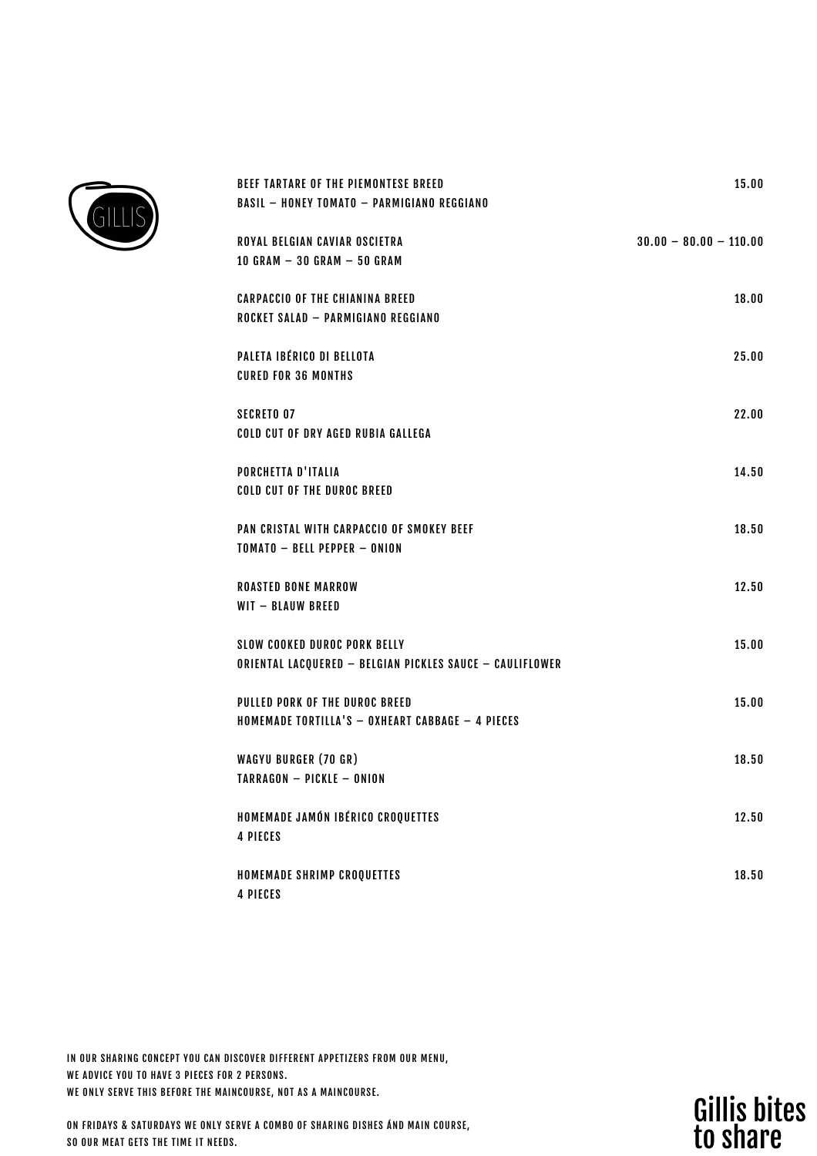

| BEEF TARTARE OF THE PIEMONTESE BREED<br><b>BASIL - HONEY TOMATO - PARMIGIANO REGGIANO</b> | 15.00                    |
|-------------------------------------------------------------------------------------------|--------------------------|
|                                                                                           |                          |
| ROYAL BELGIAN CAVIAR OSCIETRA<br>10 GRAM $-$ 30 GRAM $-$ 50 GRAM                          | $30.00 - 80.00 - 110.00$ |
| <b>CARPACCIO OF THE CHIANINA BREED</b>                                                    | 18.00                    |
| ROCKET SALAD - PARMIGIANO REGGIANO                                                        |                          |
| PALETA IBÉRICO DI BELLOTA<br><b>CURED FOR 36 MONTHS</b>                                   | 25.00                    |
| <b>SECRETO 07</b>                                                                         | 22.00                    |
| COLD CUT OF DRY AGED RUBIA GALLEGA                                                        |                          |
| PORCHETTA D'ITALIA                                                                        | 14.50                    |
| COID CUT OF THE DUROC BREED                                                               |                          |
| PAN CRISTAL WITH CARPACCIO OF SMOKEY BEEF<br>TOMATO - BFII PFPPFR - ONION                 | 18.50                    |
| <b>ROASTED BONE MARROW</b>                                                                | 12.50                    |
| WIT - BLAUW BREED                                                                         |                          |
| <b>SLOW COOKED DUROC PORK BELLY</b>                                                       | 15.00                    |
| ORIENTAL LACQUERED - BELGIAN PICKLES SAUCE - CAULIFLOWER                                  |                          |
| PULLED PORK OF THE DUROC BREED<br>HOMEMADE TORTILLA'S - OXHEART CABBAGE - 4 PIECES        | 15.00                    |
| <b>WAGYU BURGER (70 GR)</b>                                                               | 18.50                    |
| <b>TARRAGON - PICKLE - ONION</b>                                                          |                          |
| HOMEMADE JAMÓN IBÉRICO CROQUETTES                                                         | 12.50                    |
| <b>4 PIECES</b>                                                                           |                          |
| HOMEMADE SHRIMP CROQUETTES<br><b>4 PIECES</b>                                             | 18.50                    |

IN OUR SHARING CONCEPT YOU CAN DISCOVER DIFFERENT APPETIZERS FROM OUR MENU, WE ADVICE YOU TO HAVE 3 PIECES FOR 2 PERSONS. WE ONLY SERVE THIS BEFORE THE MAINCOURSE, NOT AS A MAINCOURSE.

ON FRIDAYS & SATURDAYS WE ONLY SERVE A COMBO OF SHARING DISHES ÁND MAIN COURSE, SO OUR MEAT GETS THE TIME IT NEEDS.